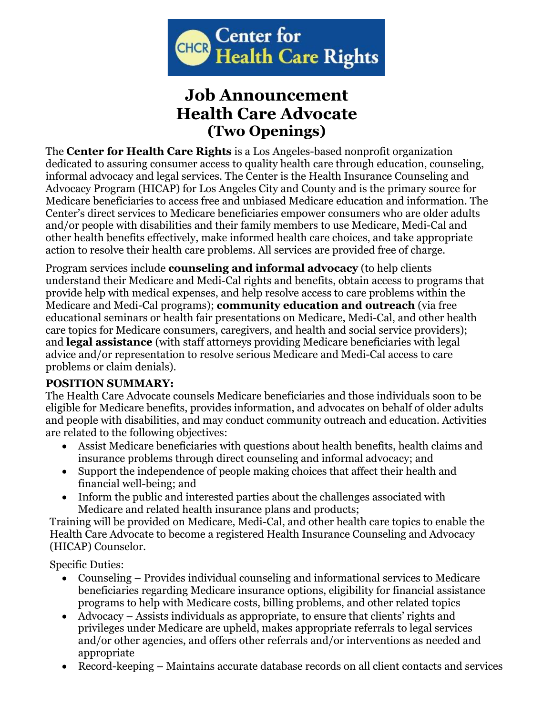

## **Job Announcement Health Care Advocate (Two Openings)**

The **Center for Health Care Rights** is a Los Angeles-based nonprofit organization dedicated to assuring consumer access to quality health care through education, counseling, informal advocacy and legal services. The Center is the Health Insurance Counseling and Advocacy Program (HICAP) for Los Angeles City and County and is the primary source for Medicare beneficiaries to access free and unbiased Medicare education and information. The Center's direct services to Medicare beneficiaries empower consumers who are older adults and/or people with disabilities and their family members to use Medicare, Medi-Cal and other health benefits effectively, make informed health care choices, and take appropriate action to resolve their health care problems. All services are provided free of charge.

Program services include **counseling and informal advocacy** (to help clients understand their Medicare and Medi-Cal rights and benefits, obtain access to programs that provide help with medical expenses, and help resolve access to care problems within the Medicare and Medi-Cal programs); **community education and outreach** (via free educational seminars or health fair presentations on Medicare, Medi-Cal, and other health care topics for Medicare consumers, caregivers, and health and social service providers); and **legal assistance** (with staff attorneys providing Medicare beneficiaries with legal advice and/or representation to resolve serious Medicare and Medi-Cal access to care problems or claim denials).

## **POSITION SUMMARY:**

The Health Care Advocate counsels Medicare beneficiaries and those individuals soon to be eligible for Medicare benefits, provides information, and advocates on behalf of older adults and people with disabilities, and may conduct community outreach and education. Activities are related to the following objectives:

- Assist Medicare beneficiaries with questions about health benefits, health claims and insurance problems through direct counseling and informal advocacy; and
- Support the independence of people making choices that affect their health and financial well-being; and
- Inform the public and interested parties about the challenges associated with Medicare and related health insurance plans and products;

Training will be provided on Medicare, Medi-Cal, and other health care topics to enable the Health Care Advocate to become a registered Health Insurance Counseling and Advocacy (HICAP) Counselor.

Specific Duties:

- Counseling Provides individual counseling and informational services to Medicare beneficiaries regarding Medicare insurance options, eligibility for financial assistance programs to help with Medicare costs, billing problems, and other related topics
- Advocacy Assists individuals as appropriate, to ensure that clients' rights and privileges under Medicare are upheld, makes appropriate referrals to legal services and/or other agencies, and offers other referrals and/or interventions as needed and appropriate
- Record-keeping Maintains accurate database records on all client contacts and services